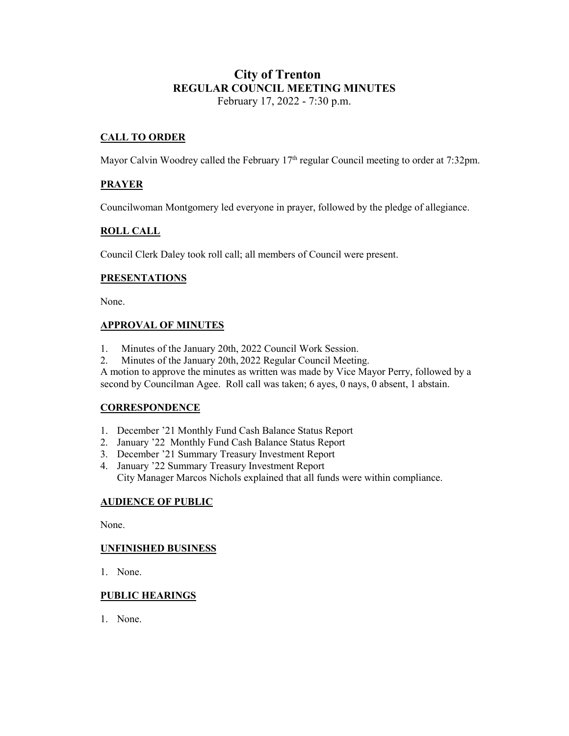# **City of Trenton REGULAR COUNCIL MEETING MINUTES** February 17, 2022 - 7:30 p.m.

# **CALL TO ORDER**

Mayor Calvin Woodrey called the February 17<sup>th</sup> regular Council meeting to order at 7:32pm.

# **PRAYER**

Councilwoman Montgomery led everyone in prayer, followed by the pledge of allegiance.

## **ROLL CALL**

Council Clerk Daley took roll call; all members of Council were present.

#### **PRESENTATIONS**

None.

### **APPROVAL OF MINUTES**

- 1. Minutes of the January 20th, 2022 Council Work Session.
- 2. Minutes of the January 20th, 2022 Regular Council Meeting.

A motion to approve the minutes as written was made by Vice Mayor Perry, followed by a second by Councilman Agee. Roll call was taken; 6 ayes, 0 nays, 0 absent, 1 abstain.

### **CORRESPONDENCE**

- 1. December '21 Monthly Fund Cash Balance Status Report
- 2. January '22 Monthly Fund Cash Balance Status Report
- 3. December '21 Summary Treasury Investment Report
- 4. January '22 Summary Treasury Investment Report City Manager Marcos Nichols explained that all funds were within compliance.

### **AUDIENCE OF PUBLIC**

None.

#### **UNFINISHED BUSINESS**

1. None.

### **PUBLIC HEARINGS**

1. None.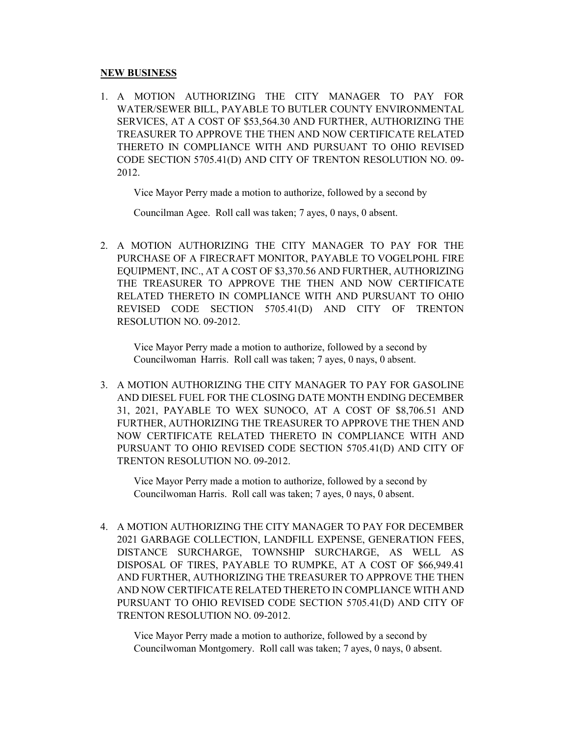#### **NEW BUSINESS**

1. A MOTION AUTHORIZING THE CITY MANAGER TO PAY FOR WATER/SEWER BILL, PAYABLE TO BUTLER COUNTY ENVIRONMENTAL SERVICES, AT A COST OF \$53,564.30 AND FURTHER, AUTHORIZING THE TREASURER TO APPROVE THE THEN AND NOW CERTIFICATE RELATED THERETO IN COMPLIANCE WITH AND PURSUANT TO OHIO REVISED CODE SECTION 5705.41(D) AND CITY OF TRENTON RESOLUTION NO. 09- 2012.

Vice Mayor Perry made a motion to authorize, followed by a second by

Councilman Agee. Roll call was taken; 7 ayes, 0 nays, 0 absent.

2. A MOTION AUTHORIZING THE CITY MANAGER TO PAY FOR THE PURCHASE OF A FIRECRAFT MONITOR, PAYABLE TO VOGELPOHL FIRE EQUIPMENT, INC., AT A COST OF \$3,370.56 AND FURTHER, AUTHORIZING THE TREASURER TO APPROVE THE THEN AND NOW CERTIFICATE RELATED THERETO IN COMPLIANCE WITH AND PURSUANT TO OHIO REVISED CODE SECTION 5705.41(D) AND CITY OF TRENTON RESOLUTION NO. 09-2012.

Vice Mayor Perry made a motion to authorize, followed by a second by Councilwoman Harris. Roll call was taken; 7 ayes, 0 nays, 0 absent.

3. A MOTION AUTHORIZING THE CITY MANAGER TO PAY FOR GASOLINE AND DIESEL FUEL FOR THE CLOSING DATE MONTH ENDING DECEMBER 31, 2021, PAYABLE TO WEX SUNOCO, AT A COST OF \$8,706.51 AND FURTHER, AUTHORIZING THE TREASURER TO APPROVE THE THEN AND NOW CERTIFICATE RELATED THERETO IN COMPLIANCE WITH AND PURSUANT TO OHIO REVISED CODE SECTION 5705.41(D) AND CITY OF TRENTON RESOLUTION NO. 09-2012.

Vice Mayor Perry made a motion to authorize, followed by a second by Councilwoman Harris. Roll call was taken; 7 ayes, 0 nays, 0 absent.

4. A MOTION AUTHORIZING THE CITY MANAGER TO PAY FOR DECEMBER 2021 GARBAGE COLLECTION, LANDFILL EXPENSE, GENERATION FEES, DISTANCE SURCHARGE, TOWNSHIP SURCHARGE, AS WELL AS DISPOSAL OF TIRES, PAYABLE TO RUMPKE, AT A COST OF \$66,949.41 AND FURTHER, AUTHORIZING THE TREASURER TO APPROVE THE THEN AND NOW CERTIFICATE RELATED THERETO IN COMPLIANCE WITH AND PURSUANT TO OHIO REVISED CODE SECTION 5705.41(D) AND CITY OF TRENTON RESOLUTION NO. 09-2012.

Vice Mayor Perry made a motion to authorize, followed by a second by Councilwoman Montgomery. Roll call was taken; 7 ayes, 0 nays, 0 absent.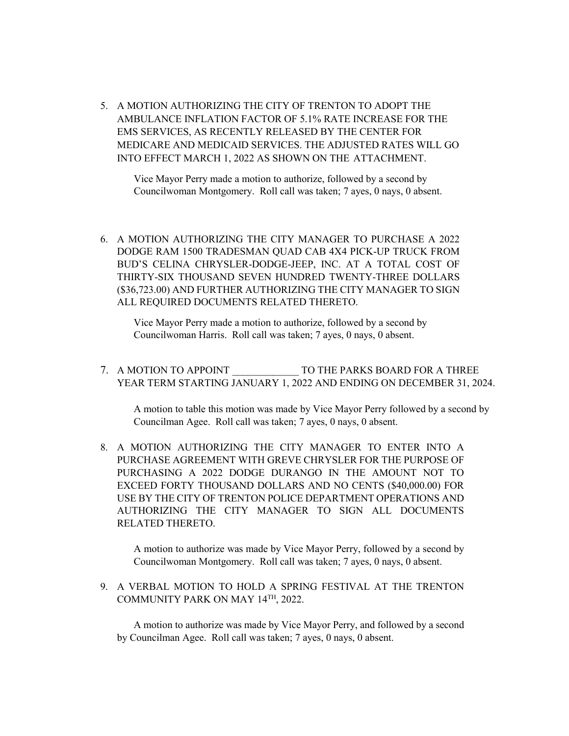5. A MOTION AUTHORIZING THE CITY OF TRENTON TO ADOPT THE AMBULANCE INFLATION FACTOR OF 5.1% RATE INCREASE FOR THE EMS SERVICES, AS RECENTLY RELEASED BY THE CENTER FOR MEDICARE AND MEDICAID SERVICES. THE ADJUSTED RATES WILL GO INTO EFFECT MARCH 1, 2022 AS SHOWN ON THE ATTACHMENT.

Vice Mayor Perry made a motion to authorize, followed by a second by Councilwoman Montgomery. Roll call was taken; 7 ayes, 0 nays, 0 absent.

6. A MOTION AUTHORIZING THE CITY MANAGER TO PURCHASE A 2022 DODGE RAM 1500 TRADESMAN QUAD CAB 4X4 PICK-UP TRUCK FROM BUD'S CELINA CHRYSLER-DODGE-JEEP, INC. AT A TOTAL COST OF THIRTY-SIX THOUSAND SEVEN HUNDRED TWENTY-THREE DOLLARS (\$36,723.00) AND FURTHER AUTHORIZING THE CITY MANAGER TO SIGN ALL REQUIRED DOCUMENTS RELATED THERETO.

Vice Mayor Perry made a motion to authorize, followed by a second by Councilwoman Harris. Roll call was taken; 7 ayes, 0 nays, 0 absent.

7. A MOTION TO APPOINT TO THE PARKS BOARD FOR A THREE YEAR TERM STARTING JANUARY 1, 2022 AND ENDING ON DECEMBER 31, 2024.

A motion to table this motion was made by Vice Mayor Perry followed by a second by Councilman Agee. Roll call was taken; 7 ayes, 0 nays, 0 absent.

8. A MOTION AUTHORIZING THE CITY MANAGER TO ENTER INTO A PURCHASE AGREEMENT WITH GREVE CHRYSLER FOR THE PURPOSE OF PURCHASING A 2022 DODGE DURANGO IN THE AMOUNT NOT TO EXCEED FORTY THOUSAND DOLLARS AND NO CENTS (\$40,000.00) FOR USE BY THE CITY OF TRENTON POLICE DEPARTMENT OPERATIONS AND AUTHORIZING THE CITY MANAGER TO SIGN ALL DOCUMENTS RELATED THERETO.

A motion to authorize was made by Vice Mayor Perry, followed by a second by Councilwoman Montgomery. Roll call was taken; 7 ayes, 0 nays, 0 absent.

9. A VERBAL MOTION TO HOLD A SPRING FESTIVAL AT THE TRENTON COMMUNITY PARK ON MAY 14TH, 2022.

A motion to authorize was made by Vice Mayor Perry, and followed by a second by Councilman Agee. Roll call was taken; 7 ayes, 0 nays, 0 absent.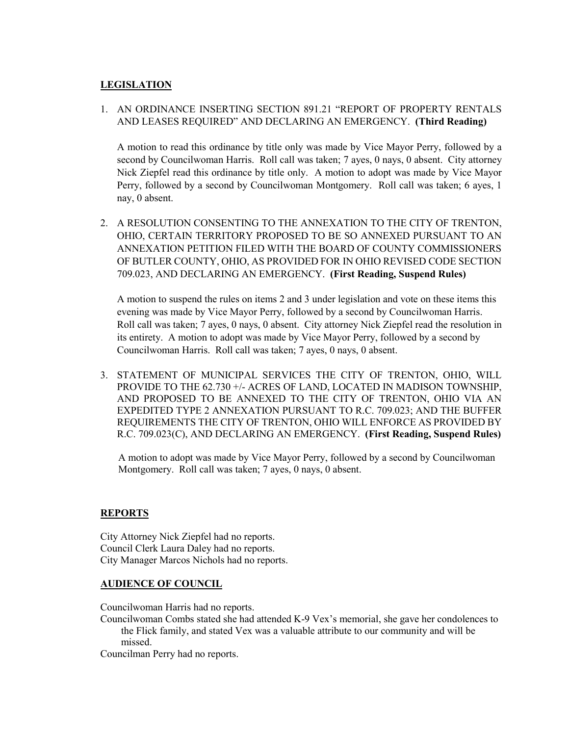# **LEGISLATION**

# 1. AN ORDINANCE INSERTING SECTION 891.21 "REPORT OF PROPERTY RENTALS AND LEASES REQUIRED" AND DECLARING AN EMERGENCY. **(Third Reading)**

A motion to read this ordinance by title only was made by Vice Mayor Perry, followed by a second by Councilwoman Harris. Roll call was taken; 7 ayes, 0 nays, 0 absent. City attorney Nick Ziepfel read this ordinance by title only. A motion to adopt was made by Vice Mayor Perry, followed by a second by Councilwoman Montgomery. Roll call was taken; 6 ayes, 1 nay, 0 absent.

2. A RESOLUTION CONSENTING TO THE ANNEXATION TO THE CITY OF TRENTON, OHIO, CERTAIN TERRITORY PROPOSED TO BE SO ANNEXED PURSUANT TO AN ANNEXATION PETITION FILED WITH THE BOARD OF COUNTY COMMISSIONERS OF BUTLER COUNTY, OHIO, AS PROVIDED FOR IN OHIO REVISED CODE SECTION 709.023, AND DECLARING AN EMERGENCY. **(First Reading, Suspend Rules)**

A motion to suspend the rules on items 2 and 3 under legislation and vote on these items this evening was made by Vice Mayor Perry, followed by a second by Councilwoman Harris. Roll call was taken; 7 ayes, 0 nays, 0 absent. City attorney Nick Ziepfel read the resolution in its entirety. A motion to adopt was made by Vice Mayor Perry, followed by a second by Councilwoman Harris. Roll call was taken; 7 ayes, 0 nays, 0 absent.

3. STATEMENT OF MUNICIPAL SERVICES THE CITY OF TRENTON, OHIO, WILL PROVIDE TO THE 62.730 +/- ACRES OF LAND, LOCATED IN MADISON TOWNSHIP, AND PROPOSED TO BE ANNEXED TO THE CITY OF TRENTON, OHIO VIA AN EXPEDITED TYPE 2 ANNEXATION PURSUANT TO R.C. 709.023; AND THE BUFFER REQUIREMENTS THE CITY OF TRENTON, OHIO WILL ENFORCE AS PROVIDED BY R.C. 709.023(C), AND DECLARING AN EMERGENCY. **(First Reading, Suspend Rules)**

 A motion to adopt was made by Vice Mayor Perry, followed by a second by Councilwoman Montgomery. Roll call was taken; 7 ayes, 0 nays, 0 absent.

### **REPORTS**

City Attorney Nick Ziepfel had no reports. Council Clerk Laura Daley had no reports. City Manager Marcos Nichols had no reports.

### **AUDIENCE OF COUNCIL**

Councilwoman Harris had no reports.

Councilwoman Combs stated she had attended K-9 Vex's memorial, she gave her condolences to the Flick family, and stated Vex was a valuable attribute to our community and will be missed.

Councilman Perry had no reports.